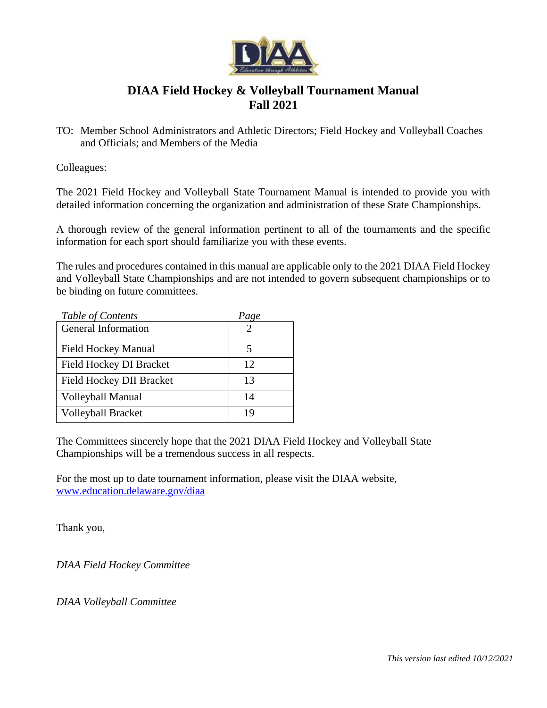

# **DIAA Field Hockey & Volleyball Tournament Manual Fall 2021**

TO: Member School Administrators and Athletic Directors; Field Hockey and Volleyball Coaches and Officials; and Members of the Media

Colleagues:

The 2021 Field Hockey and Volleyball State Tournament Manual is intended to provide you with detailed information concerning the organization and administration of these State Championships.

A thorough review of the general information pertinent to all of the tournaments and the specific information for each sport should familiarize you with these events.

The rules and procedures contained in this manual are applicable only to the 2021 DIAA Field Hockey and Volleyball State Championships and are not intended to govern subsequent championships or to be binding on future committees.

| Table of Contents          | Page |
|----------------------------|------|
| <b>General Information</b> |      |
| <b>Field Hockey Manual</b> | 5    |
| Field Hockey DI Bracket    | 12   |
| Field Hockey DII Bracket   | 13   |
| <b>Volleyball Manual</b>   | 14   |
| <b>Volleyball Bracket</b>  | 19   |

The Committees sincerely hope that the 2021 DIAA Field Hockey and Volleyball State Championships will be a tremendous success in all respects.

For the most up to date tournament information, please visit the DIAA website, [www.education.delaware.gov/diaa](http://www.education.delaware.gov/diaa)

Thank you,

*DIAA Field Hockey Committee*

*DIAA Volleyball Committee*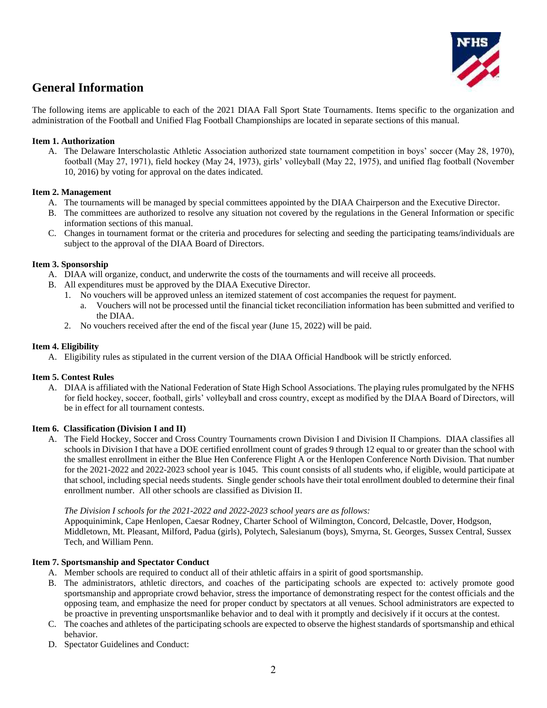

# **General Information**

The following items are applicable to each of the 2021 DIAA Fall Sport State Tournaments. Items specific to the organization and administration of the Football and Unified Flag Football Championships are located in separate sections of this manual.

# **Item 1. Authorization**

A. The Delaware Interscholastic Athletic Association authorized state tournament competition in boys' soccer (May 28, 1970), football (May 27, 1971), field hockey (May 24, 1973), girls' volleyball (May 22, 1975), and unified flag football (November 10, 2016) by voting for approval on the dates indicated.

# **Item 2. Management**

- A. The tournaments will be managed by special committees appointed by the DIAA Chairperson and the Executive Director.
- B. The committees are authorized to resolve any situation not covered by the regulations in the General Information or specific information sections of this manual.
- C. Changes in tournament format or the criteria and procedures for selecting and seeding the participating teams/individuals are subject to the approval of the DIAA Board of Directors.

# **Item 3. Sponsorship**

- A. DIAA will organize, conduct, and underwrite the costs of the tournaments and will receive all proceeds.
- B. All expenditures must be approved by the DIAA Executive Director.
	- 1. No vouchers will be approved unless an itemized statement of cost accompanies the request for payment.
		- a. Vouchers will not be processed until the financial ticket reconciliation information has been submitted and verified to the DIAA.
	- 2. No vouchers received after the end of the fiscal year (June 15, 2022) will be paid.

# **Item 4. Eligibility**

A. Eligibility rules as stipulated in the current version of the DIAA Official Handbook will be strictly enforced.

# **Item 5. Contest Rules**

A. DIAA is affiliated with the National Federation of State High School Associations. The playing rules promulgated by the NFHS for field hockey, soccer, football, girls' volleyball and cross country, except as modified by the DIAA Board of Directors, will be in effect for all tournament contests.

#### **Item 6. Classification (Division I and II)**

A. The Field Hockey, Soccer and Cross Country Tournaments crown Division I and Division II Champions. DIAA classifies all schools in Division I that have a DOE certified enrollment count of grades 9 through 12 equal to or greater than the school with the smallest enrollment in either the Blue Hen Conference Flight A or the Henlopen Conference North Division. That number for the 2021-2022 and 2022-2023 school year is 1045. This count consists of all students who, if eligible, would participate at that school, including special needs students. Single gender schools have their total enrollment doubled to determine their final enrollment number. All other schools are classified as Division II.

#### *The Division I schools for the 2021-2022 and 2022-2023 school years are as follows:*

Appoquinimink, Cape Henlopen, Caesar Rodney, Charter School of Wilmington, Concord, Delcastle, Dover, Hodgson, Middletown, Mt. Pleasant, Milford, Padua (girls), Polytech, Salesianum (boys), Smyrna, St. Georges, Sussex Central, Sussex Tech, and William Penn.

#### **Item 7. Sportsmanship and Spectator Conduct**

- A. Member schools are required to conduct all of their athletic affairs in a spirit of good sportsmanship.
- B. The administrators, athletic directors, and coaches of the participating schools are expected to: actively promote good sportsmanship and appropriate crowd behavior, stress the importance of demonstrating respect for the contest officials and the opposing team, and emphasize the need for proper conduct by spectators at all venues. School administrators are expected to be proactive in preventing unsportsmanlike behavior and to deal with it promptly and decisively if it occurs at the contest.
- C. The coaches and athletes of the participating schools are expected to observe the highest standards of sportsmanship and ethical behavior.
- D. Spectator Guidelines and Conduct: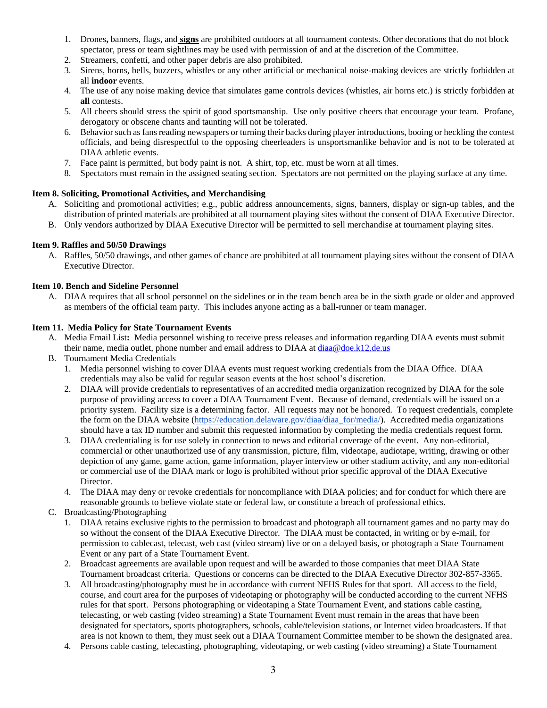- 1. Drones**,** banners, flags, and **signs** are prohibited outdoors at all tournament contests. Other decorations that do not block spectator, press or team sightlines may be used with permission of and at the discretion of the Committee.
- 2. Streamers, confetti, and other paper debris are also prohibited.
- 3. Sirens, horns, bells, buzzers, whistles or any other artificial or mechanical noise-making devices are strictly forbidden at all **indoor** events.
- 4. The use of any noise making device that simulates game controls devices (whistles, air horns etc.) is strictly forbidden at **all** contests.
- 5. All cheers should stress the spirit of good sportsmanship. Use only positive cheers that encourage your team. Profane, derogatory or obscene chants and taunting will not be tolerated.
- 6. Behavior such as fans reading newspapers or turning their backs during player introductions, booing or heckling the contest officials, and being disrespectful to the opposing cheerleaders is unsportsmanlike behavior and is not to be tolerated at DIAA athletic events.
- 7. Face paint is permitted, but body paint is not. A shirt, top, etc. must be worn at all times.
- 8. Spectators must remain in the assigned seating section. Spectators are not permitted on the playing surface at any time.

# **Item 8. Soliciting, Promotional Activities, and Merchandising**

- A. Soliciting and promotional activities; e.g., public address announcements, signs, banners, display or sign-up tables, and the distribution of printed materials are prohibited at all tournament playing sites without the consent of DIAA Executive Director.
- B. Only vendors authorized by DIAA Executive Director will be permitted to sell merchandise at tournament playing sites.

# **Item 9. Raffles and 50/50 Drawings**

A. Raffles, 50/50 drawings, and other games of chance are prohibited at all tournament playing sites without the consent of DIAA Executive Director.

#### **Item 10. Bench and Sideline Personnel**

A. DIAA requires that all school personnel on the sidelines or in the team bench area be in the sixth grade or older and approved as members of the official team party. This includes anyone acting as a ball-runner or team manager.

#### **Item 11. Media Policy for State Tournament Events**

- A. Media Email List**:** Media personnel wishing to receive press releases and information regarding DIAA events must submit their name, media outlet, phone number and email address to DIAA at  $diaa@doe.k12.de.us$
- B. Tournament Media Credentials
	- 1. Media personnel wishing to cover DIAA events must request working credentials from the DIAA Office. DIAA credentials may also be valid for regular season events at the host school's discretion.
	- 2. DIAA will provide credentials to representatives of an accredited media organization recognized by DIAA for the sole purpose of providing access to cover a DIAA Tournament Event. Because of demand, credentials will be issued on a priority system. Facility size is a determining factor. All requests may not be honored. To request credentials, complete the form on the DIAA website [\(https://education.delaware.gov/diaa/diaa\\_for/media/\)](https://education.delaware.gov/diaa/diaa_for/media/). Accredited media organizations should have a tax ID number and submit this requested information by completing the media credentials request form.
	- 3. DIAA credentialing is for use solely in connection to news and editorial coverage of the event. Any non-editorial, commercial or other unauthorized use of any transmission, picture, film, videotape, audiotape, writing, drawing or other depiction of any game, game action, game information, player interview or other stadium activity, and any non-editorial or commercial use of the DIAA mark or logo is prohibited without prior specific approval of the DIAA Executive Director.
	- 4. The DIAA may deny or revoke credentials for noncompliance with DIAA policies; and for conduct for which there are reasonable grounds to believe violate state or federal law, or constitute a breach of professional ethics.
- C. Broadcasting/Photographing
	- 1. DIAA retains exclusive rights to the permission to broadcast and photograph all tournament games and no party may do so without the consent of the DIAA Executive Director. The DIAA must be contacted, in writing or by e-mail, for permission to cablecast, telecast, web cast (video stream) live or on a delayed basis, or photograph a State Tournament Event or any part of a State Tournament Event.
	- 2. Broadcast agreements are available upon request and will be awarded to those companies that meet DIAA State Tournament broadcast criteria. Questions or concerns can be directed to the DIAA Executive Director 302-857-3365.
	- 3. All broadcasting/photography must be in accordance with current NFHS Rules for that sport. All access to the field, course, and court area for the purposes of videotaping or photography will be conducted according to the current NFHS rules for that sport. Persons photographing or videotaping a State Tournament Event, and stations cable casting, telecasting, or web casting (video streaming) a State Tournament Event must remain in the areas that have been designated for spectators, sports photographers, schools, cable/television stations, or Internet video broadcasters. If that area is not known to them, they must seek out a DIAA Tournament Committee member to be shown the designated area.
	- 4. Persons cable casting, telecasting, photographing, videotaping, or web casting (video streaming) a State Tournament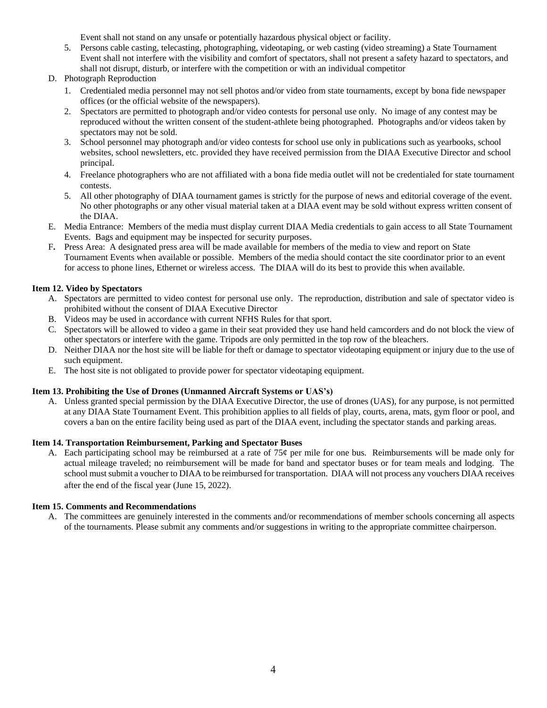Event shall not stand on any unsafe or potentially hazardous physical object or facility.

- 5. Persons cable casting, telecasting, photographing, videotaping, or web casting (video streaming) a State Tournament Event shall not interfere with the visibility and comfort of spectators, shall not present a safety hazard to spectators, and shall not disrupt, disturb, or interfere with the competition or with an individual competitor
- D. Photograph Reproduction
	- 1. Credentialed media personnel may not sell photos and/or video from state tournaments, except by bona fide newspaper offices (or the official website of the newspapers).
	- 2. Spectators are permitted to photograph and/or video contests for personal use only. No image of any contest may be reproduced without the written consent of the student-athlete being photographed. Photographs and/or videos taken by spectators may not be sold.
	- 3. School personnel may photograph and/or video contests for school use only in publications such as yearbooks, school websites, school newsletters, etc. provided they have received permission from the DIAA Executive Director and school principal.
	- 4. Freelance photographers who are not affiliated with a bona fide media outlet will not be credentialed for state tournament contests.
	- 5. All other photography of DIAA tournament games is strictly for the purpose of news and editorial coverage of the event. No other photographs or any other visual material taken at a DIAA event may be sold without express written consent of the DIAA.
- E. Media Entrance:Members of the media must display current DIAA Media credentials to gain access to all State Tournament Events. Bags and equipment may be inspected for security purposes.
- F**.** Press Area:A designated press area will be made available for members of the media to view and report on State Tournament Events when available or possible. Members of the media should contact the site coordinator prior to an event for access to phone lines, Ethernet or wireless access. The DIAA will do its best to provide this when available.

# **Item 12. Video by Spectators**

- A. Spectators are permitted to video contest for personal use only. The reproduction, distribution and sale of spectator video is prohibited without the consent of DIAA Executive Director
- B. Videos may be used in accordance with current NFHS Rules for that sport.
- C. Spectators will be allowed to video a game in their seat provided they use hand held camcorders and do not block the view of other spectators or interfere with the game. Tripods are only permitted in the top row of the bleachers.
- D. Neither DIAA nor the host site will be liable for theft or damage to spectator videotaping equipment or injury due to the use of such equipment.
- E. The host site is not obligated to provide power for spectator videotaping equipment.

# **Item 13. Prohibiting the Use of Drones (Unmanned Aircraft Systems or UAS's)**

A. Unless granted special permission by the DIAA Executive Director, the use of drones (UAS), for any purpose, is not permitted at any DIAA State Tournament Event. This prohibition applies to all fields of play, courts, arena, mats, gym floor or pool, and covers a ban on the entire facility being used as part of the DIAA event, including the spectator stands and parking areas.

# **Item 14. Transportation Reimbursement, Parking and Spectator Buses**

A. Each participating school may be reimbursed at a rate of 75¢ per mile for one bus. Reimbursements will be made only for actual mileage traveled; no reimbursement will be made for band and spectator buses or for team meals and lodging. The school must submit a voucher to DIAA to be reimbursed for transportation. DIAA will not process any vouchers DIAA receives after the end of the fiscal year (June 15, 2022).

#### **Item 15. Comments and Recommendations**

A. The committees are genuinely interested in the comments and/or recommendations of member schools concerning all aspects of the tournaments. Please submit any comments and/or suggestions in writing to the appropriate committee chairperson.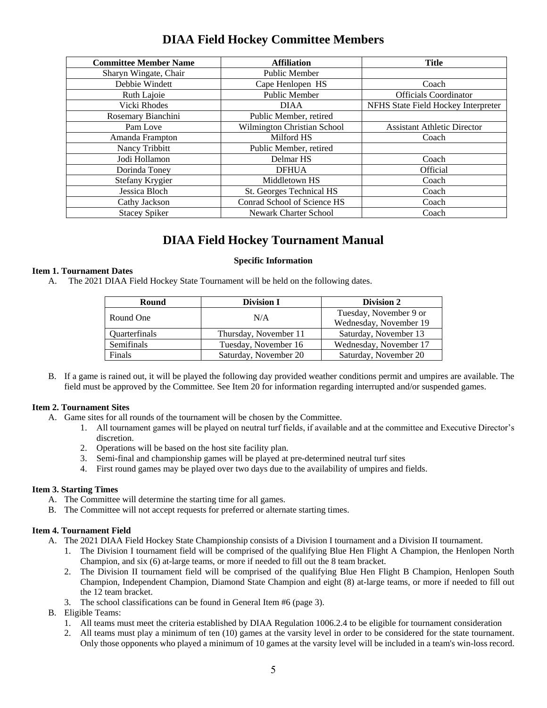# **DIAA Field Hockey Committee Members**

| <b>Committee Member Name</b> | <b>Affiliation</b>           | <b>Title</b>                        |
|------------------------------|------------------------------|-------------------------------------|
| Sharyn Wingate, Chair        | <b>Public Member</b>         |                                     |
| Debbie Windett               | Cape Henlopen HS             | Coach                               |
| Ruth Lajoie                  | <b>Public Member</b>         | <b>Officials Coordinator</b>        |
| Vicki Rhodes                 | <b>DIAA</b>                  | NFHS State Field Hockey Interpreter |
| Rosemary Bianchini           | Public Member, retired       |                                     |
| Pam Love                     | Wilmington Christian School  | <b>Assistant Athletic Director</b>  |
| Amanda Frampton              | Milford HS                   | Coach                               |
| Nancy Tribbitt               | Public Member, retired       |                                     |
| Jodi Hollamon                | Delmar <sub>HS</sub>         | Coach                               |
| Dorinda Toney                | <b>DFHUA</b>                 | Official                            |
| Stefany Krygier              | Middletown HS                | Coach                               |
| Jessica Bloch                | St. Georges Technical HS     | Coach                               |
| Cathy Jackson                | Conrad School of Science HS  | Coach                               |
| <b>Stacey Spiker</b>         | <b>Newark Charter School</b> | Coach                               |

# **DIAA Field Hockey Tournament Manual**

# **Specific Information**

# **Item 1. Tournament Dates**

A. The 2021 DIAA Field Hockey State Tournament will be held on the following dates.

| Round                | <b>Division I</b>     | Division 2             |
|----------------------|-----------------------|------------------------|
| Round One            | N/A                   | Tuesday, November 9 or |
|                      |                       | Wednesday, November 19 |
| <b>Ouarterfinals</b> | Thursday, November 11 | Saturday, November 13  |
| Semifinals           | Tuesday, November 16  | Wednesday, November 17 |
| Finals               | Saturday, November 20 | Saturday, November 20  |

B. If a game is rained out, it will be played the following day provided weather conditions permit and umpires are available. The field must be approved by the Committee. See Item 20 for information regarding interrupted and/or suspended games.

#### **Item 2. Tournament Sites**

- A. Game sites for all rounds of the tournament will be chosen by the Committee.
	- 1. All tournament games will be played on neutral turf fields, if available and at the committee and Executive Director's discretion.
	- 2. Operations will be based on the host site facility plan.
	- 3. Semi-final and championship games will be played at pre-determined neutral turf sites
	- 4. First round games may be played over two days due to the availability of umpires and fields.

#### **Item 3. Starting Times**

- A. The Committee will determine the starting time for all games.
- B. The Committee will not accept requests for preferred or alternate starting times.

#### **Item 4. Tournament Field**

- A. The 2021 DIAA Field Hockey State Championship consists of a Division I tournament and a Division II tournament.
	- 1. The Division I tournament field will be comprised of the qualifying Blue Hen Flight A Champion, the Henlopen North Champion, and six (6) at-large teams, or more if needed to fill out the 8 team bracket.
	- 2. The Division II tournament field will be comprised of the qualifying Blue Hen Flight B Champion, Henlopen South Champion, Independent Champion, Diamond State Champion and eight (8) at-large teams, or more if needed to fill out the 12 team bracket.
	- 3. The school classifications can be found in General Item #6 (page 3).
- B. Eligible Teams:
	- 1. All teams must meet the criteria established by DIAA Regulation 1006.2.4 to be eligible for tournament consideration
	- 2. All teams must play a minimum of ten (10) games at the varsity level in order to be considered for the state tournament. Only those opponents who played a minimum of 10 games at the varsity level will be included in a team's win-loss record.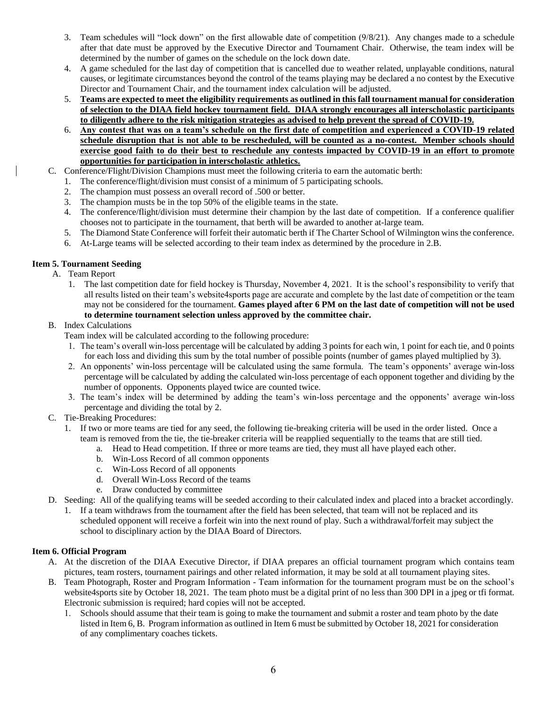- 3. Team schedules will "lock down" on the first allowable date of competition (9/8/21). Any changes made to a schedule after that date must be approved by the Executive Director and Tournament Chair. Otherwise, the team index will be determined by the number of games on the schedule on the lock down date.
- 4. A game scheduled for the last day of competition that is cancelled due to weather related, unplayable conditions, natural causes, or legitimate circumstances beyond the control of the teams playing may be declared a no contest by the Executive Director and Tournament Chair, and the tournament index calculation will be adjusted.
- 5. **Teams are expected to meet the eligibility requirements as outlined in this fall tournament manual for consideration of selection to the DIAA field hockey tournament field. DIAA strongly encourages all interscholastic participants to diligently adhere to the risk mitigation strategies as advised to help prevent the spread of COVID-19.**
- 6. **Any contest that was on a team's schedule on the first date of competition and experienced a COVID-19 related schedule disruption that is not able to be rescheduled, will be counted as a no-contest. Member schools should exercise good faith to do their best to reschedule any contests impacted by COVID-19 in an effort to promote opportunities for participation in interscholastic athletics.**
- C. Conference/Flight/Division Champions must meet the following criteria to earn the automatic berth:
	- 1. The conference/flight/division must consist of a minimum of 5 participating schools.
	- 2. The champion must possess an overall record of .500 or better.
	- 3. The champion musts be in the top 50% of the eligible teams in the state.
	- 4. The conference/flight/division must determine their champion by the last date of competition. If a conference qualifier chooses not to participate in the tournament, that berth will be awarded to another at-large team.
	- 5. The Diamond State Conference will forfeit their automatic berth if The Charter School of Wilmington wins the conference.
	- 6. At-Large teams will be selected according to their team index as determined by the procedure in 2.B.

#### **Item 5. Tournament Seeding**

- A. Team Report
	- 1. The last competition date for field hockey is Thursday, November 4, 2021. It is the school's responsibility to verify that all results listed on their team's website4sports page are accurate and complete by the last date of competition or the team may not be considered for the tournament. **Games played after 6 PM on the last date of competition will not be used to determine tournament selection unless approved by the committee chair.**

#### B. Index Calculations

- Team index will be calculated according to the following procedure:
- 1. The team's overall win-loss percentage will be calculated by adding 3 points for each win, 1 point for each tie, and 0 points for each loss and dividing this sum by the total number of possible points (number of games played multiplied by 3).
- 2. An opponents' win-loss percentage will be calculated using the same formula. The team's opponents' average win-loss percentage will be calculated by adding the calculated win-loss percentage of each opponent together and dividing by the number of opponents. Opponents played twice are counted twice.
- 3. The team's index will be determined by adding the team's win-loss percentage and the opponents' average win-loss percentage and dividing the total by 2.
- C. Tie-Breaking Procedures:
	- 1. If two or more teams are tied for any seed, the following tie-breaking criteria will be used in the order listed. Once a team is removed from the tie, the tie-breaker criteria will be reapplied sequentially to the teams that are still tied.
		- a. Head to Head competition. If three or more teams are tied, they must all have played each other.
		- b. Win-Loss Record of all common opponents
		- c. Win-Loss Record of all opponents
		- d. Overall Win-Loss Record of the teams
		- e. Draw conducted by committee
- D. Seeding: All of the qualifying teams will be seeded according to their calculated index and placed into a bracket accordingly.
	- 1. If a team withdraws from the tournament after the field has been selected, that team will not be replaced and its scheduled opponent will receive a forfeit win into the next round of play. Such a withdrawal/forfeit may subject the school to disciplinary action by the DIAA Board of Directors.

#### **Item 6. Official Program**

- A. At the discretion of the DIAA Executive Director, if DIAA prepares an official tournament program which contains team pictures, team rosters, tournament pairings and other related information, it may be sold at all tournament playing sites.
- B. Team Photograph, Roster and Program Information Team information for the tournament program must be on the school's website4sports site by October 18, 2021. The team photo must be a digital print of no less than 300 DPI in a jpeg or tfi format. Electronic submission is required; hard copies will not be accepted.
	- 1. Schools should assume that their team is going to make the tournament and submit a roster and team photo by the date listed in Item 6, B. Program information as outlined in Item 6 must be submitted by October 18, 2021 for consideration of any complimentary coaches tickets.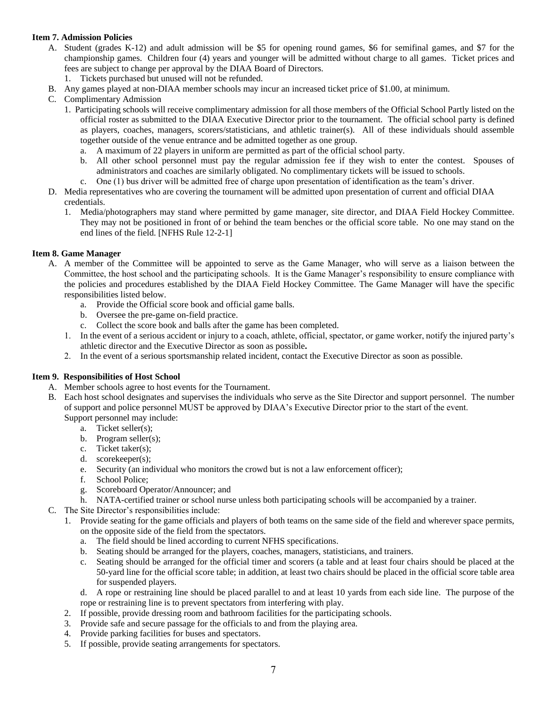# **Item 7. Admission Policies**

- A. Student (grades K-12) and adult admission will be \$5 for opening round games, \$6 for semifinal games, and \$7 for the championship games. Children four (4) years and younger will be admitted without charge to all games. Ticket prices and fees are subject to change per approval by the DIAA Board of Directors.
	- 1. Tickets purchased but unused will not be refunded.
- B. Any games played at non-DIAA member schools may incur an increased ticket price of \$1.00, at minimum.
- C. Complimentary Admission
	- 1. Participating schools will receive complimentary admission for all those members of the Official School Partly listed on the official roster as submitted to the DIAA Executive Director prior to the tournament. The official school party is defined as players, coaches, managers, scorers/statisticians, and athletic trainer(s). All of these individuals should assemble together outside of the venue entrance and be admitted together as one group.
		- a. A maximum of 22 players in uniform are permitted as part of the official school party.
		- b. All other school personnel must pay the regular admission fee if they wish to enter the contest. Spouses of administrators and coaches are similarly obligated. No complimentary tickets will be issued to schools.
		- c. One (1) bus driver will be admitted free of charge upon presentation of identification as the team's driver.
- D. Media representatives who are covering the tournament will be admitted upon presentation of current and official DIAA credentials.
	- 1. Media/photographers may stand where permitted by game manager, site director, and DIAA Field Hockey Committee. They may not be positioned in front of or behind the team benches or the official score table. No one may stand on the end lines of the field. [NFHS Rule 12-2-1]

#### **Item 8. Game Manager**

- A. A member of the Committee will be appointed to serve as the Game Manager, who will serve as a liaison between the Committee, the host school and the participating schools. It is the Game Manager's responsibility to ensure compliance with the policies and procedures established by the DIAA Field Hockey Committee. The Game Manager will have the specific responsibilities listed below.
	- a. Provide the Official score book and official game balls.
	- b. Oversee the pre-game on-field practice.
	- c. Collect the score book and balls after the game has been completed.
	- 1. In the event of a serious accident or injury to a coach, athlete, official, spectator, or game worker, notify the injured party's athletic director and the Executive Director as soon as possible**.**
	- 2. In the event of a serious sportsmanship related incident, contact the Executive Director as soon as possible.

#### **Item 9. Responsibilities of Host School**

- A. Member schools agree to host events for the Tournament.
- B. Each host school designates and supervises the individuals who serve as the Site Director and support personnel. The number of support and police personnel MUST be approved by DIAA's Executive Director prior to the start of the event. Support personnel may include:
	- a. Ticket seller(s);
		- b. Program seller(s);
		- c. Ticket taker(s);
		- d. scorekeeper(s);
		- e. Security (an individual who monitors the crowd but is not a law enforcement officer);
		- f. School Police;
		- g. Scoreboard Operator/Announcer; and
	- h. NATA-certified trainer or school nurse unless both participating schools will be accompanied by a trainer.
- C. The Site Director's responsibilities include:
	- 1. Provide seating for the game officials and players of both teams on the same side of the field and wherever space permits, on the opposite side of the field from the spectators.
		- a. The field should be lined according to current NFHS specifications.
		- b. Seating should be arranged for the players, coaches, managers, statisticians, and trainers.
		- c. Seating should be arranged for the official timer and scorers (a table and at least four chairs should be placed at the 50-yard line for the official score table; in addition, at least two chairs should be placed in the official score table area for suspended players.
		- d. A rope or restraining line should be placed parallel to and at least 10 yards from each side line. The purpose of the rope or restraining line is to prevent spectators from interfering with play.
		- 2. If possible, provide dressing room and bathroom facilities for the participating schools.
		- 3. Provide safe and secure passage for the officials to and from the playing area.
		- 4. Provide parking facilities for buses and spectators.
		- 5. If possible, provide seating arrangements for spectators.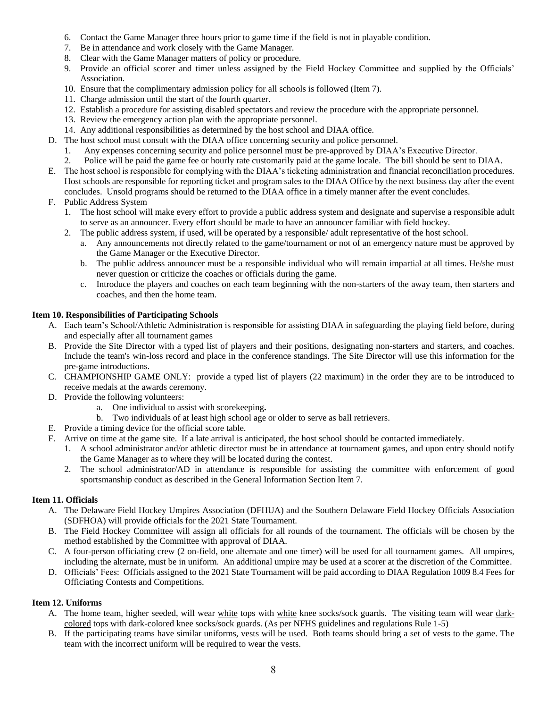- 6. Contact the Game Manager three hours prior to game time if the field is not in playable condition.
- 7. Be in attendance and work closely with the Game Manager.
- 8. Clear with the Game Manager matters of policy or procedure.
- 9. Provide an official scorer and timer unless assigned by the Field Hockey Committee and supplied by the Officials' Association.
- 10. Ensure that the complimentary admission policy for all schools is followed (Item 7).
- 11. Charge admission until the start of the fourth quarter.
- 12. Establish a procedure for assisting disabled spectators and review the procedure with the appropriate personnel.
- 13. Review the emergency action plan with the appropriate personnel.
- 14. Any additional responsibilities as determined by the host school and DIAA office.
- D. The host school must consult with the DIAA office concerning security and police personnel.
	- 1. Any expenses concerning security and police personnel must be pre-approved by DIAA's Executive Director.
	- 2. Police will be paid the game fee or hourly rate customarily paid at the game locale. The bill should be sent to DIAA.
- E. The host school is responsible for complying with the DIAA's ticketing administration and financial reconciliation procedures. Host schools are responsible for reporting ticket and program sales to the DIAA Office by the next business day after the event concludes. Unsold programs should be returned to the DIAA office in a timely manner after the event concludes.
- F. Public Address System
	- 1. The host school will make every effort to provide a public address system and designate and supervise a responsible adult to serve as an announcer. Every effort should be made to have an announcer familiar with field hockey.
	- 2. The public address system, if used, will be operated by a responsible/ adult representative of the host school.
		- a. Any announcements not directly related to the game/tournament or not of an emergency nature must be approved by the Game Manager or the Executive Director.
		- b. The public address announcer must be a responsible individual who will remain impartial at all times. He/she must never question or criticize the coaches or officials during the game.
		- c. Introduce the players and coaches on each team beginning with the non-starters of the away team, then starters and coaches, and then the home team.

# **Item 10. Responsibilities of Participating Schools**

- A. Each team's School/Athletic Administration is responsible for assisting DIAA in safeguarding the playing field before, during and especially after all tournament games
- B. Provide the Site Director with a typed list of players and their positions, designating non-starters and starters, and coaches. Include the team's win-loss record and place in the conference standings. The Site Director will use this information for the pre-game introductions.
- C. CHAMPIONSHIP GAME ONLY: provide a typed list of players (22 maximum) in the order they are to be introduced to receive medals at the awards ceremony.
- D. Provide the following volunteers:
	- a. One individual to assist with scorekeeping**.**
	- b. Two individuals of at least high school age or older to serve as ball retrievers.
- E. Provide a timing device for the official score table.
- F. Arrive on time at the game site. If a late arrival is anticipated, the host school should be contacted immediately.
	- 1. A school administrator and/or athletic director must be in attendance at tournament games, and upon entry should notify the Game Manager as to where they will be located during the contest.
	- 2. The school administrator/AD in attendance is responsible for assisting the committee with enforcement of good sportsmanship conduct as described in the General Information Section Item 7.

# **Item 11. Officials**

- A. The Delaware Field Hockey Umpires Association (DFHUA) and the Southern Delaware Field Hockey Officials Association (SDFHOA) will provide officials for the 2021 State Tournament.
- B. The Field Hockey Committee will assign all officials for all rounds of the tournament. The officials will be chosen by the method established by the Committee with approval of DIAA.
- C. A four-person officiating crew (2 on-field, one alternate and one timer) will be used for all tournament games. All umpires, including the alternate, must be in uniform. An additional umpire may be used at a scorer at the discretion of the Committee.
- D. Officials' Fees: Officials assigned to the 2021 State Tournament will be paid according to DIAA Regulation 1009 8.4 Fees for Officiating Contests and Competitions.

#### **Item 12. Uniforms**

- A. The home team, higher seeded, will wear white tops with white knee socks/sock guards. The visiting team will wear darkcolored tops with dark-colored knee socks/sock guards. (As per NFHS guidelines and regulations Rule 1-5)
- B. If the participating teams have similar uniforms, vests will be used. Both teams should bring a set of vests to the game. The team with the incorrect uniform will be required to wear the vests.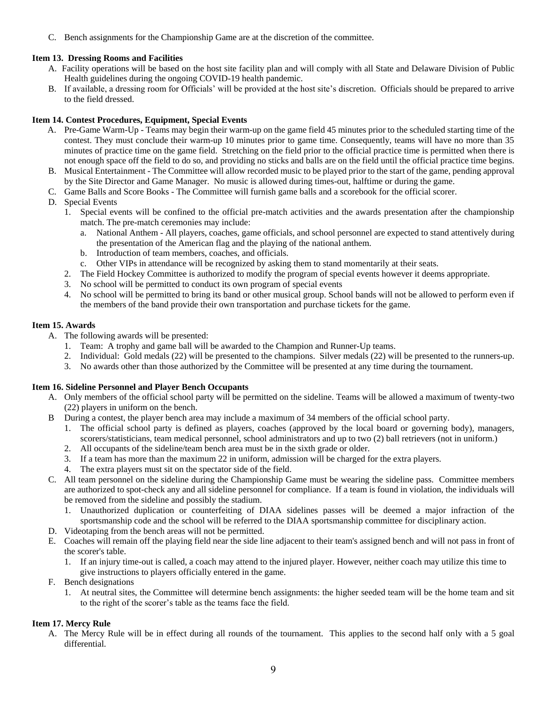C. Bench assignments for the Championship Game are at the discretion of the committee.

# **Item 13. Dressing Rooms and Facilities**

- A. Facility operations will be based on the host site facility plan and will comply with all State and Delaware Division of Public Health guidelines during the ongoing COVID-19 health pandemic.
- B. If available, a dressing room for Officials' will be provided at the host site's discretion. Officials should be prepared to arrive to the field dressed.

#### **Item 14. Contest Procedures, Equipment, Special Events**

- A. Pre-Game Warm-Up Teams may begin their warm-up on the game field 45 minutes prior to the scheduled starting time of the contest. They must conclude their warm-up 10 minutes prior to game time. Consequently, teams will have no more than 35 minutes of practice time on the game field. Stretching on the field prior to the official practice time is permitted when there is not enough space off the field to do so, and providing no sticks and balls are on the field until the official practice time begins.
- B. Musical Entertainment The Committee will allow recorded music to be played prior to the start of the game, pending approval by the Site Director and Game Manager. No music is allowed during times-out, halftime or during the game.
- C. Game Balls and Score Books The Committee will furnish game balls and a scorebook for the official scorer.
- D. Special Events
	- 1. Special events will be confined to the official pre-match activities and the awards presentation after the championship match. The pre-match ceremonies may include:
		- a. National Anthem All players, coaches, game officials, and school personnel are expected to stand attentively during the presentation of the American flag and the playing of the national anthem.
		- b. Introduction of team members, coaches, and officials.
		- c. Other VIPs in attendance will be recognized by asking them to stand momentarily at their seats.
	- 2. The Field Hockey Committee is authorized to modify the program of special events however it deems appropriate.
	- 3. No school will be permitted to conduct its own program of special events
	- 4. No school will be permitted to bring its band or other musical group. School bands will not be allowed to perform even if the members of the band provide their own transportation and purchase tickets for the game.

#### **Item 15. Awards**

- A. The following awards will be presented:
	- 1. Team: A trophy and game ball will be awarded to the Champion and Runner-Up teams.
	- 2. Individual: Gold medals (22) will be presented to the champions. Silver medals (22) will be presented to the runners-up.
	- 3. No awards other than those authorized by the Committee will be presented at any time during the tournament.

#### **Item 16. Sideline Personnel and Player Bench Occupants**

- A. Only members of the official school party will be permitted on the sideline. Teams will be allowed a maximum of twenty-two (22) players in uniform on the bench.
- B During a contest, the player bench area may include a maximum of 34 members of the official school party.
	- 1. The official school party is defined as players, coaches (approved by the local board or governing body), managers, scorers/statisticians, team medical personnel, school administrators and up to two (2) ball retrievers (not in uniform.)
	- 2. All occupants of the sideline/team bench area must be in the sixth grade or older.
	- 3. If a team has more than the maximum 22 in uniform, admission will be charged for the extra players.
	- 4. The extra players must sit on the spectator side of the field.
- C. All team personnel on the sideline during the Championship Game must be wearing the sideline pass. Committee members are authorized to spot-check any and all sideline personnel for compliance. If a team is found in violation, the individuals will be removed from the sideline and possibly the stadium.
	- 1. Unauthorized duplication or counterfeiting of DIAA sidelines passes will be deemed a major infraction of the sportsmanship code and the school will be referred to the DIAA sportsmanship committee for disciplinary action.
- D. Videotaping from the bench areas will not be permitted.
- E. Coaches will remain off the playing field near the side line adjacent to their team's assigned bench and will not pass in front of the scorer's table.
	- 1. If an injury time-out is called, a coach may attend to the injured player. However, neither coach may utilize this time to give instructions to players officially entered in the game.
- F. Bench designations
	- 1. At neutral sites, the Committee will determine bench assignments: the higher seeded team will be the home team and sit to the right of the scorer's table as the teams face the field.

#### **Item 17. Mercy Rule**

A. The Mercy Rule will be in effect during all rounds of the tournament. This applies to the second half only with a 5 goal differential.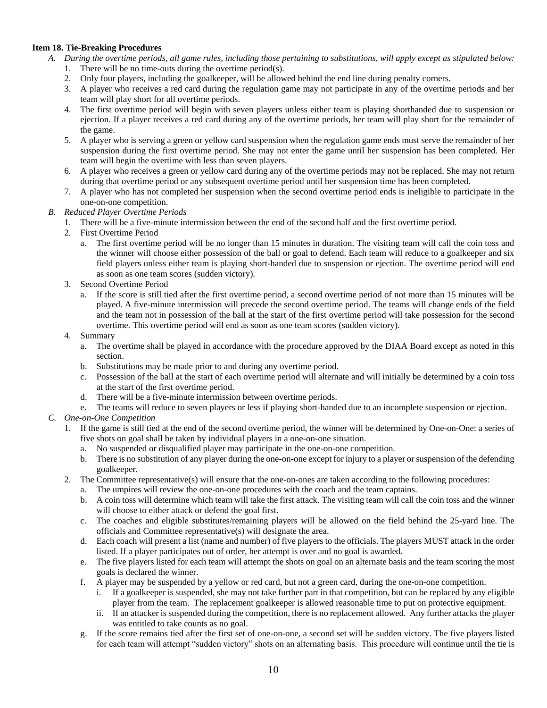#### **Item 18. Tie-Breaking Procedures**

- *A. During the overtime periods, all game rules, including those pertaining to substitutions, will apply except as stipulated below:* 1. There will be no time-outs during the overtime period(s).
	- 2. Only four players, including the goalkeeper, will be allowed behind the end line during penalty corners.
	- 3. A player who receives a red card during the regulation game may not participate in any of the overtime periods and her team will play short for all overtime periods.
	- 4. The first overtime period will begin with seven players unless either team is playing shorthanded due to suspension or ejection. If a player receives a red card during any of the overtime periods, her team will play short for the remainder of the game.
	- 5. A player who is serving a green or yellow card suspension when the regulation game ends must serve the remainder of her suspension during the first overtime period. She may not enter the game until her suspension has been completed. Her team will begin the overtime with less than seven players.
	- 6. A player who receives a green or yellow card during any of the overtime periods may not be replaced. She may not return during that overtime period or any subsequent overtime period until her suspension time has been completed.
	- 7. A player who has not completed her suspension when the second overtime period ends is ineligible to participate in the one-on-one competition.
- *B. Reduced Player Overtime Periods*
	- 1. There will be a five-minute intermission between the end of the second half and the first overtime period.
	- 2. First Overtime Period
		- a. The first overtime period will be no longer than 15 minutes in duration. The visiting team will call the coin toss and the winner will choose either possession of the ball or goal to defend. Each team will reduce to a goalkeeper and six field players unless either team is playing short-handed due to suspension or ejection. The overtime period will end as soon as one team scores (sudden victory).
	- 3. Second Overtime Period
		- a. If the score is still tied after the first overtime period, a second overtime period of not more than 15 minutes will be played. A five-minute intermission will precede the second overtime period. The teams will change ends of the field and the team not in possession of the ball at the start of the first overtime period will take possession for the second overtime. This overtime period will end as soon as one team scores (sudden victory).
	- 4. Summary
		- a. The overtime shall be played in accordance with the procedure approved by the DIAA Board except as noted in this section.
		- b. Substitutions may be made prior to and during any overtime period.
		- c. Possession of the ball at the start of each overtime period will alternate and will initially be determined by a coin toss at the start of the first overtime period.
		- d. There will be a five-minute intermission between overtime periods.
		- e. The teams will reduce to seven players or less if playing short-handed due to an incomplete suspension or ejection.
- *C. One-on-One Competition*
	- 1. If the game is still tied at the end of the second overtime period, the winner will be determined by One-on-One: a series of five shots on goal shall be taken by individual players in a one-on-one situation.
		- a. No suspended or disqualified player may participate in the one-on-one competition*.*
		- b. There is no substitution of any player during the one-on-one except for injury to a player or suspension of the defending goalkeeper.
	- 2. The Committee representative(s) will ensure that the one-on-ones are taken according to the following procedures:
		- a. The umpires will review the one-on-one procedures with the coach and the team captains.
		- b. A coin toss will determine which team will take the first attack. The visiting team will call the coin toss and the winner will choose to either attack or defend the goal first.
		- c. The coaches and eligible substitutes/remaining players will be allowed on the field behind the 25-yard line. The officials and Committee representative(s) will designate the area.
		- d. Each coach will present a list (name and number) of five players to the officials. The players MUST attack in the order listed. If a player participates out of order, her attempt is over and no goal is awarded.
		- e. The five players listed for each team will attempt the shots on goal on an alternate basis and the team scoring the most goals is declared the winner.
		- f. A player may be suspended by a yellow or red card, but not a green card, during the one-on-one competition.
			- i. If a goalkeeper is suspended, she may not take further part in that competition, but can be replaced by any eligible player from the team. The replacement goalkeeper is allowed reasonable time to put on protective equipment.
			- ii. If an attacker is suspended during the competition, there is no replacement allowed. Any further attacks the player was entitled to take counts as no goal.
		- g. If the score remains tied after the first set of one-on-one, a second set will be sudden victory. The five players listed for each team will attempt "sudden victory" shots on an alternating basis. This procedure will continue until the tie is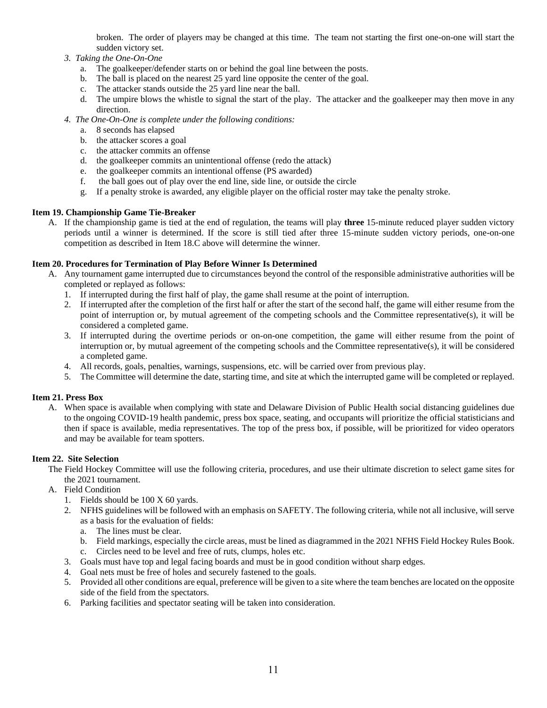broken. The order of players may be changed at this time. The team not starting the first one-on-one will start the sudden victory set.

- *3. Taking the One-On-One*
	- a.The goalkeeper/defender starts on or behind the goal line between the posts.
	- b. The ball is placed on the nearest 25 yard line opposite the center of the goal.
	- c. The attacker stands outside the 25 yard line near the ball.
	- d. The umpire blows the whistle to signal the start of the play. The attacker and the goalkeeper may then move in any direction.
- *4. The One-On-One is complete under the following conditions:*
	- a. 8 seconds has elapsed
	- b. the attacker scores a goal
	- c. the attacker commits an offense
	- d. the goalkeeper commits an unintentional offense (redo the attack)
	- e. the goalkeeper commits an intentional offense (PS awarded)
	- f. the ball goes out of play over the end line, side line, or outside the circle
	- g. If a penalty stroke is awarded, any eligible player on the official roster may take the penalty stroke.

# **Item 19. Championship Game Tie-Breaker**

A. If the championship game is tied at the end of regulation, the teams will play **three** 15-minute reduced player sudden victory periods until a winner is determined. If the score is still tied after three 15-minute sudden victory periods, one-on-one competition as described in Item 18.C above will determine the winner.

# **Item 20. Procedures for Termination of Play Before Winner Is Determined**

- A. Any tournament game interrupted due to circumstances beyond the control of the responsible administrative authorities will be completed or replayed as follows:
	- 1. If interrupted during the first half of play, the game shall resume at the point of interruption.
	- 2. If interrupted after the completion of the first half or after the start of the second half, the game will either resume from the point of interruption or, by mutual agreement of the competing schools and the Committee representative(s), it will be considered a completed game.
	- 3. If interrupted during the overtime periods or on-on-one competition, the game will either resume from the point of interruption or, by mutual agreement of the competing schools and the Committee representative(s), it will be considered a completed game.
	- 4. All records, goals, penalties, warnings, suspensions, etc. will be carried over from previous play.
	- 5. The Committee will determine the date, starting time, and site at which the interrupted game will be completed or replayed.

#### **Item 21. Press Box**

A. When space is available when complying with state and Delaware Division of Public Health social distancing guidelines due to the ongoing COVID-19 health pandemic, press box space, seating, and occupants will prioritize the official statisticians and then if space is available, media representatives. The top of the press box, if possible, will be prioritized for video operators and may be available for team spotters.

#### **Item 22. Site Selection**

- The Field Hockey Committee will use the following criteria, procedures, and use their ultimate discretion to select game sites for the 2021 tournament.
- A. Field Condition
	- 1. Fields should be 100 X 60 yards.
	- 2. NFHS guidelines will be followed with an emphasis on SAFETY. The following criteria, while not all inclusive, will serve as a basis for the evaluation of fields:
		- a. The lines must be clear.
		- b. Field markings, especially the circle areas, must be lined as diagrammed in the 2021 NFHS Field Hockey Rules Book.
		- c. Circles need to be level and free of ruts, clumps, holes etc.
	- 3. Goals must have top and legal facing boards and must be in good condition without sharp edges.
	- 4. Goal nets must be free of holes and securely fastened to the goals.
	- 5. Provided all other conditions are equal, preference will be given to a site where the team benches are located on the opposite side of the field from the spectators.
	- 6. Parking facilities and spectator seating will be taken into consideration.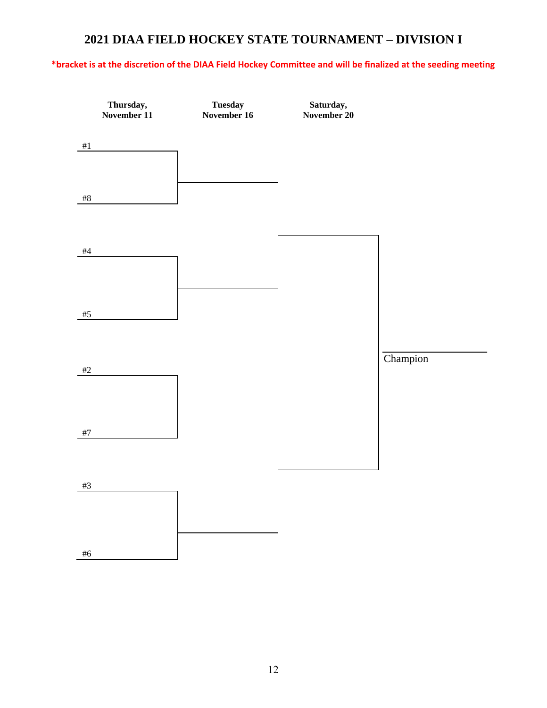# **2021 DIAA FIELD HOCKEY STATE TOURNAMENT – DIVISION I**

# **\*bracket is at the discretion of the DIAA Field Hockey Committee and will be finalized at the seeding meeting**

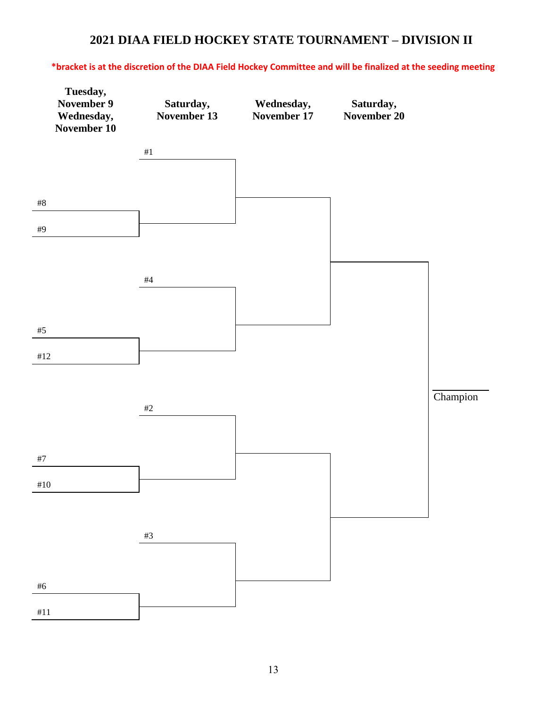# **2021 DIAA FIELD HOCKEY STATE TOURNAMENT – DIVISION II**

# **\*bracket is at the discretion of the DIAA Field Hockey Committee and will be finalized at the seeding meeting**

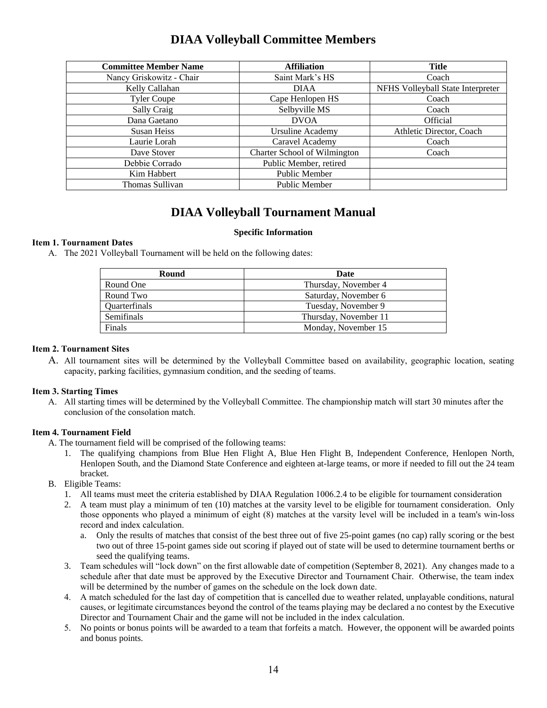# **DIAA Volleyball Committee Members**

| <b>Committee Member Name</b> | <b>Affiliation</b>           | Title                             |
|------------------------------|------------------------------|-----------------------------------|
| Nancy Griskowitz - Chair     | Saint Mark's HS              | Coach                             |
| Kelly Callahan               | <b>DIAA</b>                  | NFHS Volleyball State Interpreter |
| <b>Tyler Coupe</b>           | Cape Henlopen HS             | Coach                             |
| Sally Craig                  | Selbyville MS                | Coach                             |
| Dana Gaetano                 | <b>DVOA</b>                  | <b>Official</b>                   |
| <b>Susan Heiss</b>           | <b>Ursuline Academy</b>      | Athletic Director, Coach          |
| Laurie Lorah                 | Caravel Academy              | Coach                             |
| Dave Stover                  | Charter School of Wilmington | Coach                             |
| Debbie Corrado               | Public Member, retired       |                                   |
| Kim Habbert                  | <b>Public Member</b>         |                                   |
| Thomas Sullivan              | <b>Public Member</b>         |                                   |

# **DIAA Volleyball Tournament Manual**

#### **Specific Information**

#### **Item 1. Tournament Dates**

A. The 2021 Volleyball Tournament will be held on the following dates:

| Round                | Date                  |
|----------------------|-----------------------|
| Round One            | Thursday, November 4  |
| Round Two            | Saturday, November 6  |
| <b>Ouarterfinals</b> | Tuesday, November 9   |
| Semifinals           | Thursday, November 11 |
| Finals               | Monday, November 15   |

#### **Item 2. Tournament Sites**

A. All tournament sites will be determined by the Volleyball Committee based on availability, geographic location, seating capacity, parking facilities, gymnasium condition, and the seeding of teams.

#### **Item 3. Starting Times**

A. All starting times will be determined by the Volleyball Committee. The championship match will start 30 minutes after the conclusion of the consolation match.

#### **Item 4. Tournament Field**

A. The tournament field will be comprised of the following teams:

- 1. The qualifying champions from Blue Hen Flight A, Blue Hen Flight B, Independent Conference, Henlopen North, Henlopen South, and the Diamond State Conference and eighteen at-large teams, or more if needed to fill out the 24 team bracket.
- B. Eligible Teams:
	- 1. All teams must meet the criteria established by DIAA Regulation 1006.2.4 to be eligible for tournament consideration
	- 2. A team must play a minimum of ten (10) matches at the varsity level to be eligible for tournament consideration. Only those opponents who played a minimum of eight (8) matches at the varsity level will be included in a team's win-loss record and index calculation.
		- a. Only the results of matches that consist of the best three out of five 25-point games (no cap) rally scoring or the best two out of three 15-point games side out scoring if played out of state will be used to determine tournament berths or seed the qualifying teams.
	- 3. Team schedules will "lock down" on the first allowable date of competition (September 8, 2021). Any changes made to a schedule after that date must be approved by the Executive Director and Tournament Chair. Otherwise, the team index will be determined by the number of games on the schedule on the lock down date.
	- 4. A match scheduled for the last day of competition that is cancelled due to weather related, unplayable conditions, natural causes, or legitimate circumstances beyond the control of the teams playing may be declared a no contest by the Executive Director and Tournament Chair and the game will not be included in the index calculation.
	- 5. No points or bonus points will be awarded to a team that forfeits a match. However, the opponent will be awarded points and bonus points.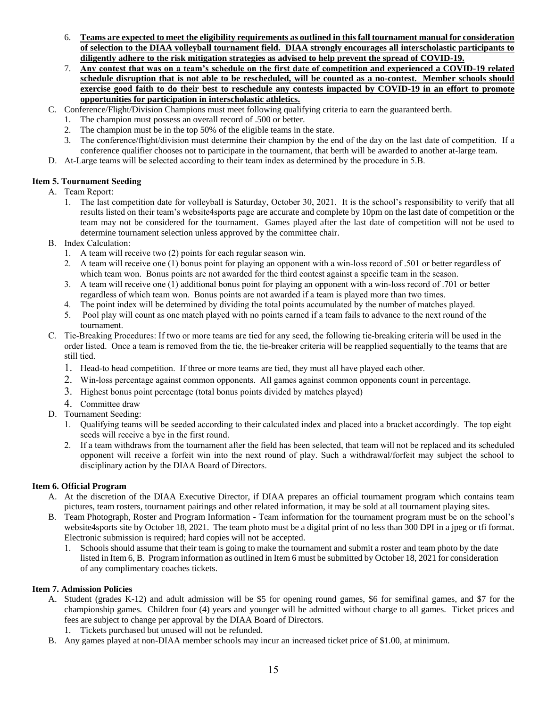- 6. **Teams are expected to meet the eligibility requirements as outlined in this fall tournament manual for consideration of selection to the DIAA volleyball tournament field. DIAA strongly encourages all interscholastic participants to diligently adhere to the risk mitigation strategies as advised to help prevent the spread of COVID-19.**
- 7. **Any contest that was on a team's schedule on the first date of competition and experienced a COVID-19 related schedule disruption that is not able to be rescheduled, will be counted as a no-contest. Member schools should exercise good faith to do their best to reschedule any contests impacted by COVID-19 in an effort to promote opportunities for participation in interscholastic athletics.**
- C. Conference/Flight/Division Champions must meet following qualifying criteria to earn the guaranteed berth.
	- 1. The champion must possess an overall record of .500 or better.
	- 2. The champion must be in the top 50% of the eligible teams in the state.
	- 3. The conference/flight/division must determine their champion by the end of the day on the last date of competition. If a conference qualifier chooses not to participate in the tournament, that berth will be awarded to another at-large team.
- D. At-Large teams will be selected according to their team index as determined by the procedure in 5.B.

# **Item 5. Tournament Seeding**

- A. Team Report:
	- 1. The last competition date for volleyball is Saturday, October 30, 2021. It is the school's responsibility to verify that all results listed on their team's website4sports page are accurate and complete by 10pm on the last date of competition or the team may not be considered for the tournament. Games played after the last date of competition will not be used to determine tournament selection unless approved by the committee chair.
- B. Index Calculation:
	- 1. A team will receive two (2) points for each regular season win.
	- 2. A team will receive one (1) bonus point for playing an opponent with a win-loss record of .501 or better regardless of which team won. Bonus points are not awarded for the third contest against a specific team in the season.
	- 3. A team will receive one (1) additional bonus point for playing an opponent with a win-loss record of .701 or better regardless of which team won. Bonus points are not awarded if a team is played more than two times.
	- 4. The point index will be determined by dividing the total points accumulated by the number of matches played.
	- 5. Pool play will count as one match played with no points earned if a team fails to advance to the next round of the tournament.
- C. Tie-Breaking Procedures: If two or more teams are tied for any seed, the following tie-breaking criteria will be used in the order listed. Once a team is removed from the tie, the tie-breaker criteria will be reapplied sequentially to the teams that are still tied.
	- 1. Head-to head competition. If three or more teams are tied, they must all have played each other.
	- 2. Win-loss percentage against common opponents. All games against common opponents count in percentage.
	- 3. Highest bonus point percentage (total bonus points divided by matches played)
	- 4. Committee draw
- D. Tournament Seeding:
	- 1. Qualifying teams will be seeded according to their calculated index and placed into a bracket accordingly. The top eight seeds will receive a bye in the first round.
	- 2. If a team withdraws from the tournament after the field has been selected, that team will not be replaced and its scheduled opponent will receive a forfeit win into the next round of play. Such a withdrawal/forfeit may subject the school to disciplinary action by the DIAA Board of Directors.

#### **Item 6. Official Program**

- A. At the discretion of the DIAA Executive Director, if DIAA prepares an official tournament program which contains team pictures, team rosters, tournament pairings and other related information, it may be sold at all tournament playing sites.
- B. Team Photograph, Roster and Program Information Team information for the tournament program must be on the school's website4sports site by October 18, 2021. The team photo must be a digital print of no less than 300 DPI in a jpeg or tfi format. Electronic submission is required; hard copies will not be accepted.
	- 1. Schools should assume that their team is going to make the tournament and submit a roster and team photo by the date listed in Item 6, B. Program information as outlined in Item 6 must be submitted by October 18, 2021 for consideration of any complimentary coaches tickets.

#### **Item 7. Admission Policies**

- A. Student (grades K-12) and adult admission will be \$5 for opening round games, \$6 for semifinal games, and \$7 for the championship games. Children four (4) years and younger will be admitted without charge to all games. Ticket prices and fees are subject to change per approval by the DIAA Board of Directors.
	- 1. Tickets purchased but unused will not be refunded.
- B. Any games played at non-DIAA member schools may incur an increased ticket price of \$1.00, at minimum.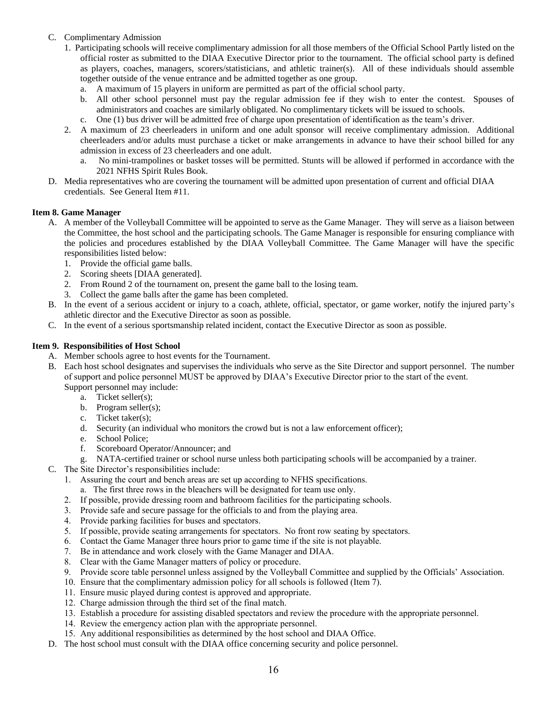- C. Complimentary Admission
	- 1. Participating schools will receive complimentary admission for all those members of the Official School Partly listed on the official roster as submitted to the DIAA Executive Director prior to the tournament. The official school party is defined as players, coaches, managers, scorers/statisticians, and athletic trainer(s). All of these individuals should assemble together outside of the venue entrance and be admitted together as one group.
		- a. A maximum of 15 players in uniform are permitted as part of the official school party.
		- b. All other school personnel must pay the regular admission fee if they wish to enter the contest. Spouses of administrators and coaches are similarly obligated. No complimentary tickets will be issued to schools.
		- c. One (1) bus driver will be admitted free of charge upon presentation of identification as the team's driver.
	- 2. A maximum of 23 cheerleaders in uniform and one adult sponsor will receive complimentary admission. Additional cheerleaders and/or adults must purchase a ticket or make arrangements in advance to have their school billed for any admission in excess of 23 cheerleaders and one adult.
		- a. No mini-trampolines or basket tosses will be permitted. Stunts will be allowed if performed in accordance with the 2021 NFHS Spirit Rules Book.
- D. Media representatives who are covering the tournament will be admitted upon presentation of current and official DIAA credentials. See General Item #11.

#### **Item 8. Game Manager**

- A. A member of the Volleyball Committee will be appointed to serve as the Game Manager. They will serve as a liaison between the Committee, the host school and the participating schools. The Game Manager is responsible for ensuring compliance with the policies and procedures established by the DIAA Volleyball Committee. The Game Manager will have the specific responsibilities listed below:
	- 1. Provide the official game balls.
	- 2. Scoring sheets [DIAA generated].
	- 2. From Round 2 of the tournament on, present the game ball to the losing team.
	- 3. Collect the game balls after the game has been completed.
- B. In the event of a serious accident or injury to a coach, athlete, official, spectator, or game worker, notify the injured party's athletic director and the Executive Director as soon as possible.
- C. In the event of a serious sportsmanship related incident, contact the Executive Director as soon as possible.

#### **Item 9. Responsibilities of Host School**

- A. Member schools agree to host events for the Tournament.
- B. Each host school designates and supervises the individuals who serve as the Site Director and support personnel. The number of support and police personnel MUST be approved by DIAA's Executive Director prior to the start of the event. Support personnel may include:
	- a. Ticket seller(s);
	- b. Program seller(s);
	- c. Ticket taker(s);
	- d. Security (an individual who monitors the crowd but is not a law enforcement officer);
	- e. School Police;
	- f. Scoreboard Operator/Announcer; and
	- g. NATA-certified trainer or school nurse unless both participating schools will be accompanied by a trainer.
- C. The Site Director's responsibilities include:
	- 1. Assuring the court and bench areas are set up according to NFHS specifications.
		- a. The first three rows in the bleachers will be designated for team use only.
	- 2. If possible, provide dressing room and bathroom facilities for the participating schools.
	- 3. Provide safe and secure passage for the officials to and from the playing area.
	- 4. Provide parking facilities for buses and spectators.
	- 5. If possible, provide seating arrangements for spectators. No front row seating by spectators.
	- 6. Contact the Game Manager three hours prior to game time if the site is not playable.
	- 7. Be in attendance and work closely with the Game Manager and DIAA.
	- 8. Clear with the Game Manager matters of policy or procedure.
	- 9. Provide score table personnel unless assigned by the Volleyball Committee and supplied by the Officials' Association.
	- 10. Ensure that the complimentary admission policy for all schools is followed (Item 7).
	- 11. Ensure music played during contest is approved and appropriate.
	- 12. Charge admission through the third set of the final match.
	- 13. Establish a procedure for assisting disabled spectators and review the procedure with the appropriate personnel.
	- 14. Review the emergency action plan with the appropriate personnel.
	- 15. Any additional responsibilities as determined by the host school and DIAA Office.
- D. The host school must consult with the DIAA office concerning security and police personnel.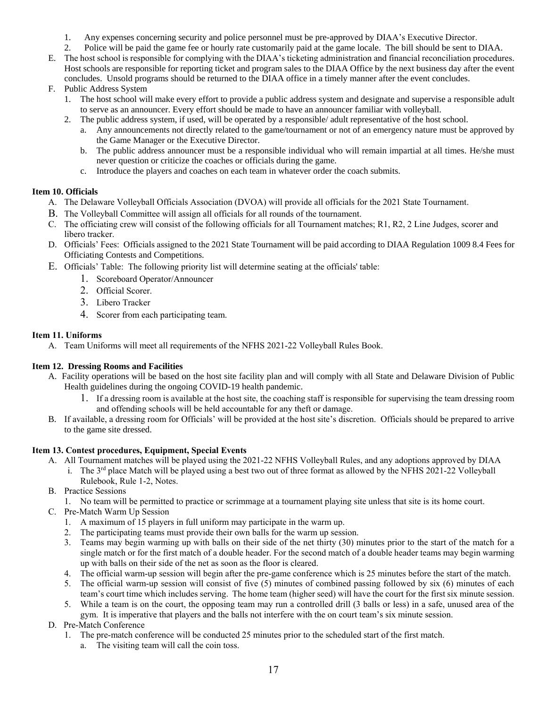- 1. Any expenses concerning security and police personnel must be pre-approved by DIAA's Executive Director.
- 2. Police will be paid the game fee or hourly rate customarily paid at the game locale. The bill should be sent to DIAA.
- E. The host school is responsible for complying with the DIAA's ticketing administration and financial reconciliation procedures. Host schools are responsible for reporting ticket and program sales to the DIAA Office by the next business day after the event concludes. Unsold programs should be returned to the DIAA office in a timely manner after the event concludes.
- F. Public Address System
	- 1. The host school will make every effort to provide a public address system and designate and supervise a responsible adult to serve as an announcer. Every effort should be made to have an announcer familiar with volleyball.
	- 2. The public address system, if used, will be operated by a responsible/ adult representative of the host school.
		- a. Any announcements not directly related to the game/tournament or not of an emergency nature must be approved by the Game Manager or the Executive Director.
		- b. The public address announcer must be a responsible individual who will remain impartial at all times. He/she must never question or criticize the coaches or officials during the game.
		- c. Introduce the players and coaches on each team in whatever order the coach submits.

# **Item 10. Officials**

- A. The Delaware Volleyball Officials Association (DVOA) will provide all officials for the 2021 State Tournament.
- B. The Volleyball Committee will assign all officials for all rounds of the tournament.
- C. The officiating crew will consist of the following officials for all Tournament matches; R1, R2, 2 Line Judges, scorer and libero tracker.
- D. Officials' Fees: Officials assigned to the 2021 State Tournament will be paid according to DIAA Regulation 1009 8.4 Fees for Officiating Contests and Competitions.
- E. Officials' Table: The following priority list will determine seating at the officials' table:
	- 1. Scoreboard Operator/Announcer
	- 2. Official Scorer.
	- 3. Libero Tracker
	- 4. Scorer from each participating team.

# **Item 11. Uniforms**

A. Team Uniforms will meet all requirements of the NFHS 2021-22 Volleyball Rules Book.

# **Item 12. Dressing Rooms and Facilities**

- A. Facility operations will be based on the host site facility plan and will comply with all State and Delaware Division of Public Health guidelines during the ongoing COVID-19 health pandemic.
	- 1. If a dressing room is available at the host site, the coaching staff is responsible for supervising the team dressing room and offending schools will be held accountable for any theft or damage.
- B. If available, a dressing room for Officials' will be provided at the host site's discretion. Officials should be prepared to arrive to the game site dressed.

# **Item 13. Contest procedures, Equipment, Special Events**

- A. All Tournament matches will be played using the 2021-22 NFHS Volleyball Rules, and any adoptions approved by DIAA
	- i. The  $3<sup>rd</sup>$  place Match will be played using a best two out of three format as allowed by the NFHS 2021-22 Volleyball Rulebook, Rule 1-2, Notes.
- B. Practice Sessions
	- 1. No team will be permitted to practice or scrimmage at a tournament playing site unless that site is its home court.
- C. Pre-Match Warm Up Session
	- 1. A maximum of 15 players in full uniform may participate in the warm up.
	- 2. The participating teams must provide their own balls for the warm up session.
	- 3. Teams may begin warming up with balls on their side of the net thirty (30) minutes prior to the start of the match for a single match or for the first match of a double header. For the second match of a double header teams may begin warming up with balls on their side of the net as soon as the floor is cleared.
	- 4. The official warm-up session will begin after the pre-game conference which is 25 minutes before the start of the match.
	- 5. The official warm-up session will consist of five (5) minutes of combined passing followed by six (6) minutes of each team's court time which includes serving. The home team (higher seed) will have the court for the first six minute session.
	- 5. While a team is on the court, the opposing team may run a controlled drill (3 balls or less) in a safe, unused area of the gym. It is imperative that players and the balls not interfere with the on court team's six minute session.
- D. Pre-Match Conference
	- 1. The pre-match conference will be conducted 25 minutes prior to the scheduled start of the first match.
		- a. The visiting team will call the coin toss.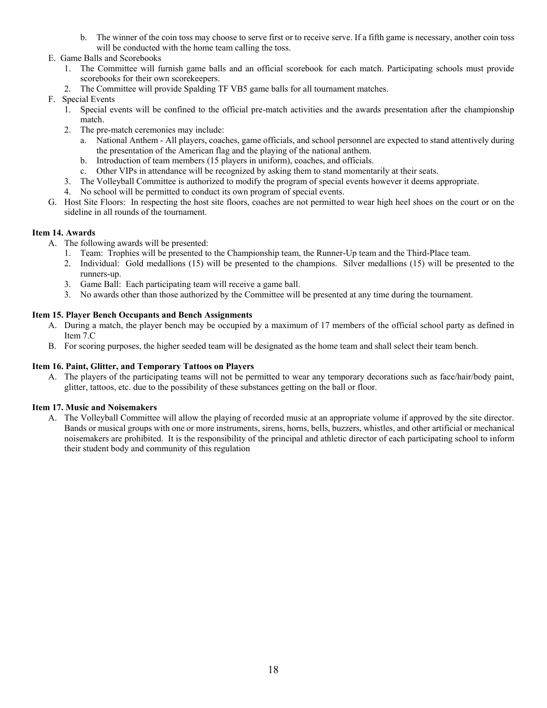- b. The winner of the coin toss may choose to serve first or to receive serve. If a fifth game is necessary, another coin toss will be conducted with the home team calling the toss.
- E. Game Balls and Scorebooks
	- 1. The Committee will furnish game balls and an official scorebook for each match. Participating schools must provide scorebooks for their own scorekeepers.
	- 2. The Committee will provide Spalding TF VB5 game balls for all tournament matches.
- F. Special Events
	- 1. Special events will be confined to the official pre-match activities and the awards presentation after the championship match.
	- 2. The pre-match ceremonies may include:
		- a. National Anthem All players, coaches, game officials, and school personnel are expected to stand attentively during the presentation of the American flag and the playing of the national anthem.
		- b. Introduction of team members (15 players in uniform), coaches, and officials.
		- c. Other VIPs in attendance will be recognized by asking them to stand momentarily at their seats.
	- 3. The Volleyball Committee is authorized to modify the program of special events however it deems appropriate.
	- 4. No school will be permitted to conduct its own program of special events.
- G. Host Site Floors: In respecting the host site floors, coaches are not permitted to wear high heel shoes on the court or on the sideline in all rounds of the tournament.

# **Item 14. Awards**

- A. The following awards will be presented:
	- 1. Team: Trophies will be presented to the Championship team, the Runner-Up team and the Third-Place team.
	- 2. Individual: Gold medallions (15) will be presented to the champions. Silver medallions (15) will be presented to the runners-up.
	- 3. Game Ball: Each participating team will receive a game ball.
	- 3. No awards other than those authorized by the Committee will be presented at any time during the tournament.

#### **Item 15. Player Bench Occupants and Bench Assignments**

- A. During a match, the player bench may be occupied by a maximum of 17 members of the official school party as defined in Item 7.C
- B. For scoring purposes, the higher seeded team will be designated as the home team and shall select their team bench.

#### **Item 16. Paint, Glitter, and Temporary Tattoos on Players**

A. The players of the participating teams will not be permitted to wear any temporary decorations such as face/hair/body paint, glitter, tattoos, etc. due to the possibility of these substances getting on the ball or floor.

#### **Item 17. Music and Noisemakers**

A. The Volleyball Committee will allow the playing of recorded music at an appropriate volume if approved by the site director. Bands or musical groups with one or more instruments, sirens, horns, bells, buzzers, whistles, and other artificial or mechanical noisemakers are prohibited. It is the responsibility of the principal and athletic director of each participating school to inform their student body and community of this regulation